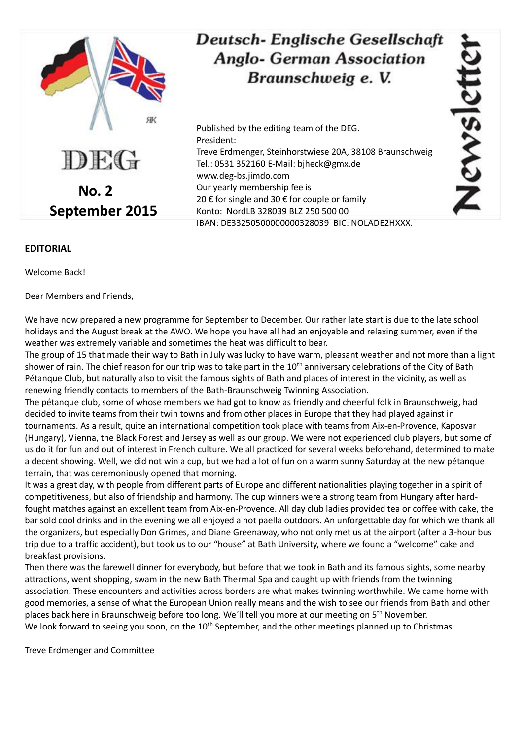

## Deutsch-Englische Gesellschaft **Anglo- German Association** Braunschweig e. V.

Published by the editing team of the DEG. President: Treve Erdmenger, Steinhorstwiese 20A, 38108 Braunschweig Tel.: 0531 352160 E-Mail: bjheck@gmx.de www.deg-bs.jimdo.com Our yearly membership fee is 20 € for single and 30 € for couple or family Konto: NordLB 328039 BLZ 250 500 00 IBAN: DE33250500000000328039 BIC: NOLADE2HXXX.

## **EDITORIAL**

Welcome Back!

Dear Members and Friends,

We have now prepared a new programme for September to December. Our rather late start is due to the late school holidays and the August break at the AWO. We hope you have all had an enjoyable and relaxing summer, even if the weather was extremely variable and sometimes the heat was difficult to bear.

The group of 15 that made their way to Bath in July was lucky to have warm, pleasant weather and not more than a light shower of rain. The chief reason for our trip was to take part in the 10<sup>th</sup> anniversary celebrations of the City of Bath Pétanque Club, but naturally also to visit the famous sights of Bath and places of interest in the vicinity, as well as renewing friendly contacts to members of the Bath-Braunschweig Twinning Association.

The pétanque club, some of whose members we had got to know as friendly and cheerful folk in Braunschweig, had decided to invite teams from their twin towns and from other places in Europe that they had played against in tournaments. As a result, quite an international competition took place with teams from Aix-en-Provence, Kaposvar (Hungary), Vienna, the Black Forest and Jersey as well as our group. We were not experienced club players, but some of us do it for fun and out of interest in French culture. We all practiced for several weeks beforehand, determined to make a decent showing. Well, we did not win a cup, but we had a lot of fun on a warm sunny Saturday at the new pétanque terrain, that was ceremoniously opened that morning.

It was a great day, with people from different parts of Europe and different nationalities playing together in a spirit of competitiveness, but also of friendship and harmony. The cup winners were a strong team from Hungary after hardfought matches against an excellent team from Aix-en-Provence. All day club ladies provided tea or coffee with cake, the bar sold cool drinks and in the evening we all enjoyed a hot paella outdoors. An unforgettable day for which we thank all the organizers, but especially Don Grimes, and Diane Greenaway, who not only met us at the airport (after a 3-hour bus trip due to a traffic accident), but took us to our "house" at Bath University, where we found a "welcome" cake and breakfast provisions.

Then there was the farewell dinner for everybody, but before that we took in Bath and its famous sights, some nearby attractions, went shopping, swam in the new Bath Thermal Spa and caught up with friends from the twinning association. These encounters and activities across borders are what makes twinning worthwhile. We came home with good memories, a sense of what the European Union really means and the wish to see our friends from Bath and other places back here in Braunschweig before too long. We'll tell you more at our meeting on 5<sup>th</sup> November. We look forward to seeing you soon, on the 10<sup>th</sup> September, and the other meetings planned up to Christmas.

Treve Erdmenger and Committee